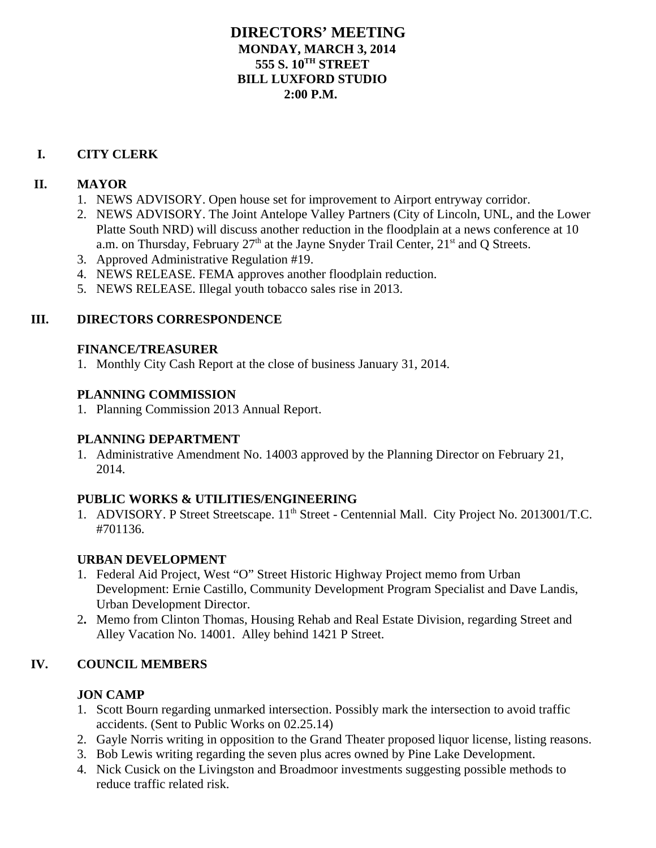#### **DIRECTORS' MEETING MONDAY, MARCH 3, 2014 555 S. 10TH STREET BILL LUXFORD STUDIO 2:00 P.M.**

#### **I. CITY CLERK**

#### **II. MAYOR**

- 1. NEWS ADVISORY. Open house set for improvement to Airport entryway corridor.
- 2. NEWS ADVISORY. The Joint Antelope Valley Partners (City of Lincoln, UNL, and the Lower Platte South NRD) will discuss another reduction in the floodplain at a news conference at 10 a.m. on Thursday, February  $27<sup>th</sup>$  at the Jayne Snyder Trail Center,  $21<sup>st</sup>$  and Q Streets.
- 3. Approved Administrative Regulation #19.
- 4. NEWS RELEASE. FEMA approves another floodplain reduction.
- 5. NEWS RELEASE. Illegal youth tobacco sales rise in 2013.

# **III. DIRECTORS CORRESPONDENCE**

#### **FINANCE/TREASURER**

1. Monthly City Cash Report at the close of business January 31, 2014.

# **PLANNING COMMISSION**

1. Planning Commission 2013 Annual Report.

# **PLANNING DEPARTMENT**

1. Administrative Amendment No. 14003 approved by the Planning Director on February 21, 2014.

# **PUBLIC WORKS & UTILITIES/ENGINEERING**

1. ADVISORY. P Street Streetscape. 11<sup>th</sup> Street - Centennial Mall. City Project No. 2013001/T.C. #701136.

# **URBAN DEVELOPMENT**

- 1. Federal Aid Project, West "O" Street Historic Highway Project memo from Urban Development: Ernie Castillo, Community Development Program Specialist and Dave Landis, Urban Development Director.
- 2**.** Memo from Clinton Thomas, Housing Rehab and Real Estate Division, regarding Street and Alley Vacation No. 14001. Alley behind 1421 P Street.

# **IV. COUNCIL MEMBERS**

# **JON CAMP**

- 1. Scott Bourn regarding unmarked intersection. Possibly mark the intersection to avoid traffic accidents. (Sent to Public Works on 02.25.14)
- 2. Gayle Norris writing in opposition to the Grand Theater proposed liquor license, listing reasons.
- 3. Bob Lewis writing regarding the seven plus acres owned by Pine Lake Development.
- 4. Nick Cusick on the Livingston and Broadmoor investments suggesting possible methods to reduce traffic related risk.